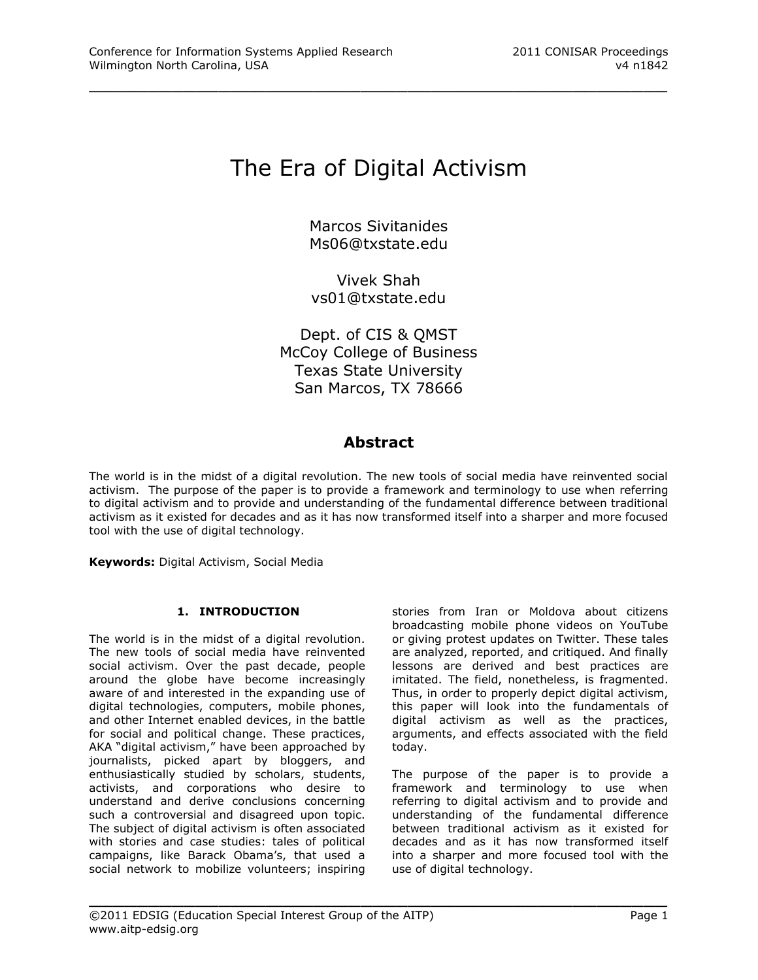# The Era of Digital Activism

\_\_\_\_\_\_\_\_\_\_\_\_\_\_\_\_\_\_\_\_\_\_\_\_\_\_\_\_\_\_\_\_\_\_\_\_\_\_\_\_\_\_\_\_\_\_\_\_\_

Marcos Sivitanides [Ms06@txstate.edu](mailto:Ms06@txstate.edu)

Vivek Shah [vs01@txstate.edu](mailto:vs01@txstate.edu)

Dept. of CIS & QMST McCoy College of Business Texas State University San Marcos, TX 78666

# **Abstract**

The world is in the midst of a digital revolution. The new tools of social media have reinvented social activism. The purpose of the paper is to provide a framework and terminology to use when referring to digital activism and to provide and understanding of the fundamental difference between traditional activism as it existed for decades and as it has now transformed itself into a sharper and more focused tool with the use of digital technology.

\_\_\_\_\_\_\_\_\_\_\_\_\_\_\_\_\_\_\_\_\_\_\_\_\_\_\_\_\_\_\_\_\_\_\_\_\_\_\_\_\_\_\_\_\_\_\_\_\_

**Keywords:** Digital Activism, Social Media

# **1. INTRODUCTION**

The world is in the midst of a digital revolution. The new tools of social media have reinvented social activism. Over the past decade, people around the globe have become increasingly aware of and interested in the expanding use of digital technologies, computers, mobile phones, and other Internet enabled devices, in the battle for social and political change. These practices, AKA "digital activism," have been approached by journalists, picked apart by bloggers, and enthusiastically studied by scholars, students, activists, and corporations who desire to understand and derive conclusions concerning such a controversial and disagreed upon topic. The subject of digital activism is often associated with stories and case studies: tales of political campaigns, like Barack Obama's, that used a social network to mobilize volunteers; inspiring

stories from Iran or Moldova about citizens broadcasting mobile phone videos on YouTube or giving protest updates on Twitter. These tales are analyzed, reported, and critiqued. And finally lessons are derived and best practices are imitated. The field, nonetheless, is fragmented. Thus, in order to properly depict digital activism, this paper will look into the fundamentals of digital activism as well as the practices, arguments, and effects associated with the field today.

The purpose of the paper is to provide a framework and terminology to use when referring to digital activism and to provide and understanding of the fundamental difference between traditional activism as it existed for decades and as it has now transformed itself into a sharper and more focused tool with the use of digital technology.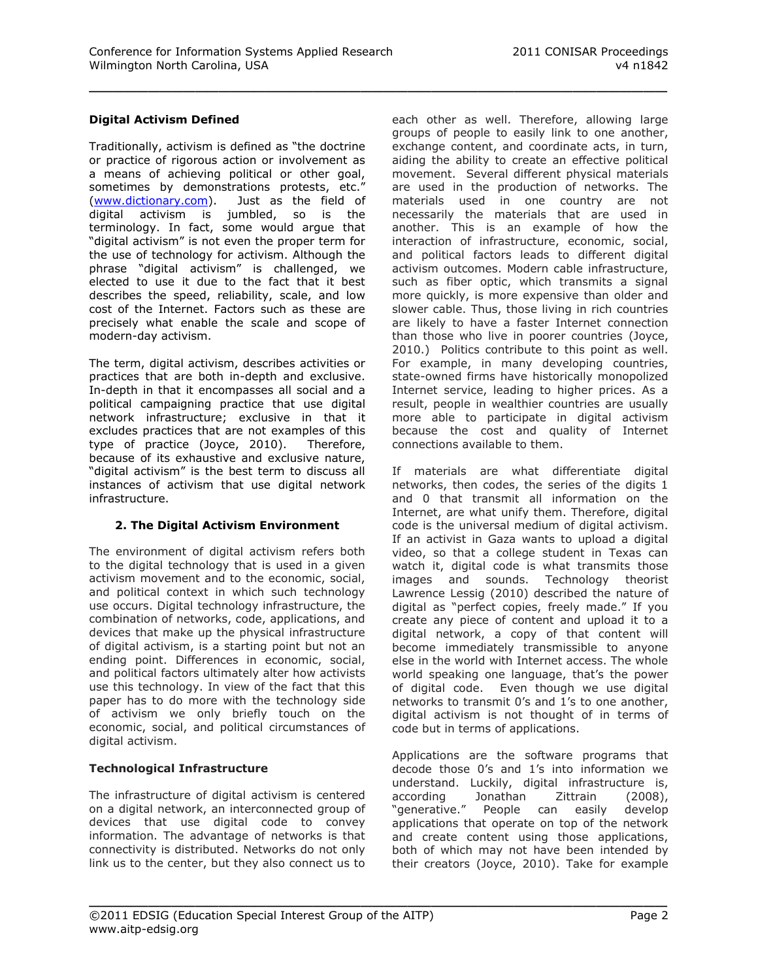## **Digital Activism Defined**

Traditionally, activism is defined as "the doctrine or practice of rigorous action or involvement as a means of achieving political or other goal, sometimes by demonstrations protests, etc." [\(www.dictionary.com\)](http://www.dictionary.com/). Just as the field of digital activism is jumbled, so is the terminology. In fact, some would argue that "digital activism" is not even the proper term for the use of technology for activism. Although the phrase "digital activism" is challenged, we elected to use it due to the fact that it best describes the speed, reliability, scale, and low cost of the Internet. Factors such as these are precisely what enable the scale and scope of modern-day activism.

The term, digital activism, describes activities or practices that are both in-depth and exclusive. In-depth in that it encompasses all social and a political campaigning practice that use digital network infrastructure; exclusive in that it excludes practices that are not examples of this type of practice (Joyce, 2010). Therefore, because of its exhaustive and exclusive nature, "digital activism" is the best term to discuss all instances of activism that use digital network infrastructure.

## **2. The Digital Activism Environment**

The environment of digital activism refers both to the digital technology that is used in a given activism movement and to the economic, social, and political context in which such technology use occurs. Digital technology infrastructure, the combination of networks, code, applications, and devices that make up the physical infrastructure of digital activism, is a starting point but not an ending point. Differences in economic, social, and political factors ultimately alter how activists use this technology. In view of the fact that this paper has to do more with the technology side of activism we only briefly touch on the economic, social, and political circumstances of digital activism.

## **Technological Infrastructure**

The infrastructure of digital activism is centered on a digital network, an interconnected group of devices that use digital code to convey information. The advantage of networks is that connectivity is distributed. Networks do not only link us to the center, but they also connect us to

each other as well. Therefore, allowing large groups of people to easily link to one another, exchange content, and coordinate acts, in turn, aiding the ability to create an effective political movement. Several different physical materials are used in the production of networks. The materials used in one country are not necessarily the materials that are used in another. This is an example of how the interaction of infrastructure, economic, social, and political factors leads to different digital activism outcomes. Modern cable infrastructure, such as fiber optic, which transmits a signal more quickly, is more expensive than older and slower cable. Thus, those living in rich countries are likely to have a faster Internet connection than those who live in poorer countries (Joyce, 2010.) Politics contribute to this point as well. For example, in many developing countries, state-owned firms have historically monopolized Internet service, leading to higher prices. As a result, people in wealthier countries are usually more able to participate in digital activism because the cost and quality of Internet connections available to them.

If materials are what differentiate digital networks, then codes, the series of the digits 1 and 0 that transmit all information on the Internet, are what unify them. Therefore, digital code is the universal medium of digital activism. If an activist in Gaza wants to upload a digital video, so that a college student in Texas can watch it, digital code is what transmits those images and sounds. Technology theorist Lawrence Lessig (2010) described the nature of digital as "perfect copies, freely made." If you create any piece of content and upload it to a digital network, a copy of that content will become immediately transmissible to anyone else in the world with Internet access. The whole world speaking one language, that's the power of digital code. Even though we use digital networks to transmit 0's and  $1$ 's to one another, digital activism is not thought of in terms of code but in terms of applications.

Applications are the software programs that decode those 0's and 1's into information we understand. Luckily, digital infrastructure is, according Jonathan Zittrain (2008), "generative." People can easily develop applications that operate on top of the network and create content using those applications, both of which may not have been intended by their creators (Joyce, 2010). Take for example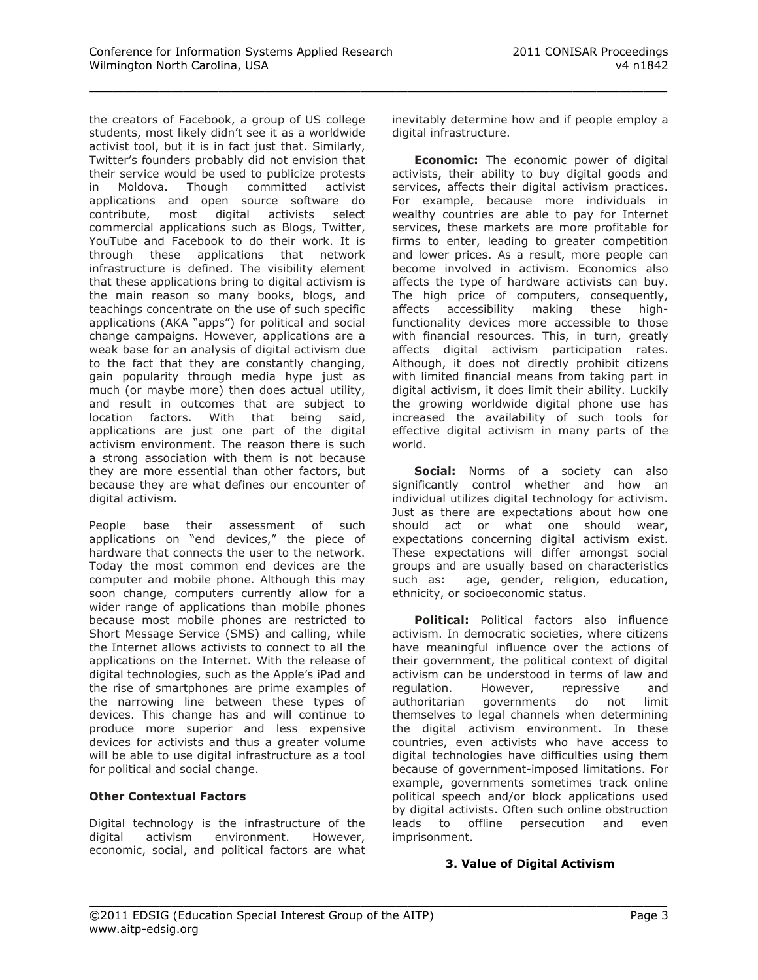the creators of Facebook, a group of US college students, most likely didn't see it as a worldwide activist tool, but it is in fact just that. Similarly, Twitter's founders probably did not envision that their service would be used to publicize protests in Moldova. Though committed activist applications and open source software do contribute, most digital activists select commercial applications such as Blogs, Twitter, YouTube and Facebook to do their work. It is through these applications that network infrastructure is defined. The visibility element that these applications bring to digital activism is the main reason so many books, blogs, and teachings concentrate on the use of such specific applications (AKA "apps") for political and social change campaigns. However, applications are a weak base for an analysis of digital activism due to the fact that they are constantly changing, gain popularity through media hype just as much (or maybe more) then does actual utility, and result in outcomes that are subject to location factors. With that being said, applications are just one part of the digital activism environment. The reason there is such a strong association with them is not because they are more essential than other factors, but because they are what defines our encounter of digital activism.

People base their assessment of such applications on "end devices," the piece of hardware that connects the user to the network. Today the most common end devices are the computer and mobile phone. Although this may soon change, computers currently allow for a wider range of applications than mobile phones because most mobile phones are restricted to Short Message Service (SMS) and calling, while the Internet allows activists to connect to all the applications on the Internet. With the release of digital technologies, such as the Apple's iPad and the rise of smartphones are prime examples of the narrowing line between these types of devices. This change has and will continue to produce more superior and less expensive devices for activists and thus a greater volume will be able to use digital infrastructure as a tool for political and social change.

## **Other Contextual Factors**

Digital technology is the infrastructure of the digital activism environment. However, economic, social, and political factors are what inevitably determine how and if people employ a digital infrastructure.

**Economic:** The economic power of digital activists, their ability to buy digital goods and services, affects their digital activism practices. For example, because more individuals in wealthy countries are able to pay for Internet services, these markets are more profitable for firms to enter, leading to greater competition and lower prices. As a result, more people can become involved in activism. Economics also affects the type of hardware activists can buy. The high price of computers, consequently, affects accessibility making these highfunctionality devices more accessible to those with financial resources. This, in turn, greatly affects digital activism participation rates. Although, it does not directly prohibit citizens with limited financial means from taking part in digital activism, it does limit their ability. Luckily the growing worldwide digital phone use has increased the availability of such tools for effective digital activism in many parts of the world.

**Social:** Norms of a society can also significantly control whether and how an individual utilizes digital technology for activism. Just as there are expectations about how one should act or what one should wear, expectations concerning digital activism exist. These expectations will differ amongst social groups and are usually based on characteristics such as: age, gender, religion, education, ethnicity, or socioeconomic status.

**Political:** Political factors also influence activism. In democratic societies, where citizens have meaningful influence over the actions of their government, the political context of digital activism can be understood in terms of law and regulation. However, repressive and authoritarian governments do not limit themselves to legal channels when determining the digital activism environment. In these countries, even activists who have access to digital technologies have difficulties using them because of government-imposed limitations. For example, governments sometimes track online political speech and/or block applications used by digital activists. Often such online obstruction leads to offline persecution and even imprisonment.

## **3. Value of Digital Activism**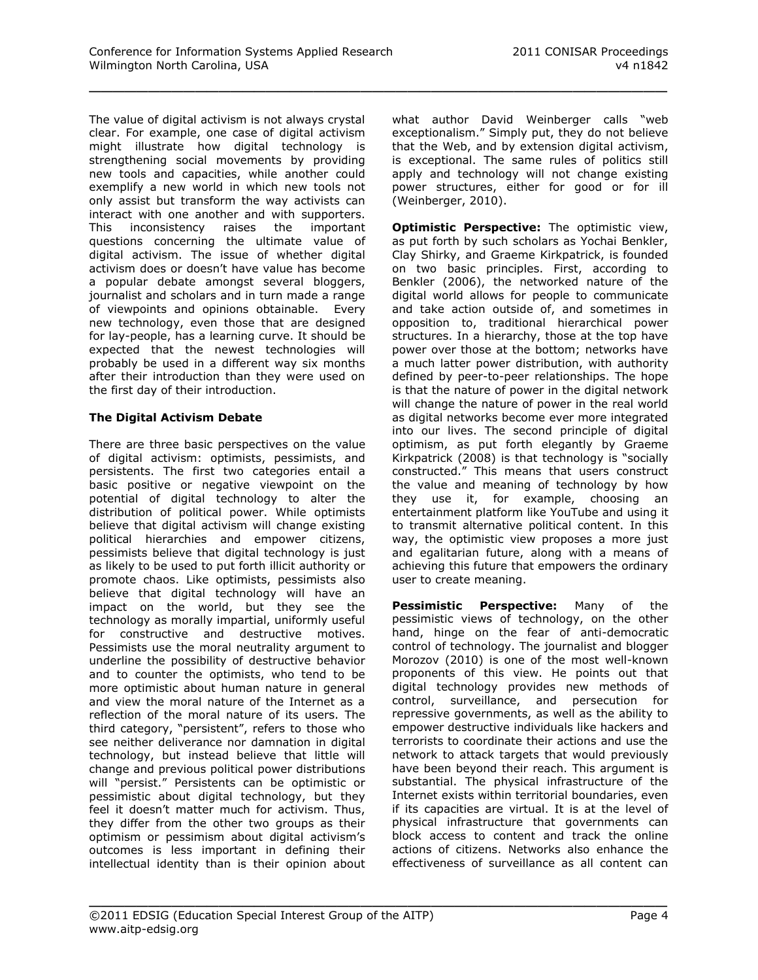The value of digital activism is not always crystal clear. For example, one case of digital activism might illustrate how digital technology is strengthening social movements by providing new tools and capacities, while another could exemplify a new world in which new tools not only assist but transform the way activists can interact with one another and with supporters. This inconsistency raises the important questions concerning the ultimate value of digital activism. The issue of whether digital activism does or doesn't have value has become a popular debate amongst several bloggers, journalist and scholars and in turn made a range of viewpoints and opinions obtainable. Every new technology, even those that are designed for lay-people, has a learning curve. It should be expected that the newest technologies will probably be used in a different way six months after their introduction than they were used on the first day of their introduction.

# **The Digital Activism Debate**

There are three basic perspectives on the value of digital activism: optimists, pessimists, and persistents. The first two categories entail a basic positive or negative viewpoint on the potential of digital technology to alter the distribution of political power. While optimists believe that digital activism will change existing political hierarchies and empower citizens, pessimists believe that digital technology is just as likely to be used to put forth illicit authority or promote chaos. Like optimists, pessimists also believe that digital technology will have an impact on the world, but they see the technology as morally impartial, uniformly useful for constructive and destructive motives. Pessimists use the moral neutrality argument to underline the possibility of destructive behavior and to counter the optimists, who tend to be more optimistic about human nature in general and view the moral nature of the Internet as a reflection of the moral nature of its users. The third category, "persistent", refers to those who see neither deliverance nor damnation in digital technology, but instead believe that little will change and previous political power distributions will "persist." Persistents can be optimistic or pessimistic about digital technology, but they feel it doesn't matter much for activism. Thus, they differ from the other two groups as their optimism or pessimism about digital activism's outcomes is less important in defining their intellectual identity than is their opinion about

what author David Weinberger calls "web exceptionalism." Simply put, they do not believe that the Web, and by extension digital activism, is exceptional. The same rules of politics still apply and technology will not change existing power structures, either for good or for ill (Weinberger, 2010).

**Optimistic Perspective:** The optimistic view, as put forth by such scholars as Yochai Benkler, Clay Shirky, and Graeme Kirkpatrick, is founded on two basic principles. First, according to Benkler (2006), the networked nature of the digital world allows for people to communicate and take action outside of, and sometimes in opposition to, traditional hierarchical power structures. In a hierarchy, those at the top have power over those at the bottom; networks have a much latter power distribution, with authority defined by peer-to-peer relationships. The hope is that the nature of power in the digital network will change the nature of power in the real world as digital networks become ever more integrated into our lives. The second principle of digital optimism, as put forth elegantly by Graeme Kirkpatrick (2008) is that technology is "socially constructed." This means that users construct the value and meaning of technology by how they use it, for example, choosing an entertainment platform like YouTube and using it to transmit alternative political content. In this way, the optimistic view proposes a more just and egalitarian future, along with a means of achieving this future that empowers the ordinary user to create meaning.

**Pessimistic Perspective:** Many of the pessimistic views of technology, on the other hand, hinge on the fear of anti-democratic control of technology. The journalist and blogger Morozov (2010) is one of the most well-known proponents of this view. He points out that digital technology provides new methods of control, surveillance, and persecution for repressive governments, as well as the ability to empower destructive individuals like hackers and terrorists to coordinate their actions and use the network to attack targets that would previously have been beyond their reach. This argument is substantial. The physical infrastructure of the Internet exists within territorial boundaries, even if its capacities are virtual. It is at the level of physical infrastructure that governments can block access to content and track the online actions of citizens. Networks also enhance the effectiveness of surveillance as all content can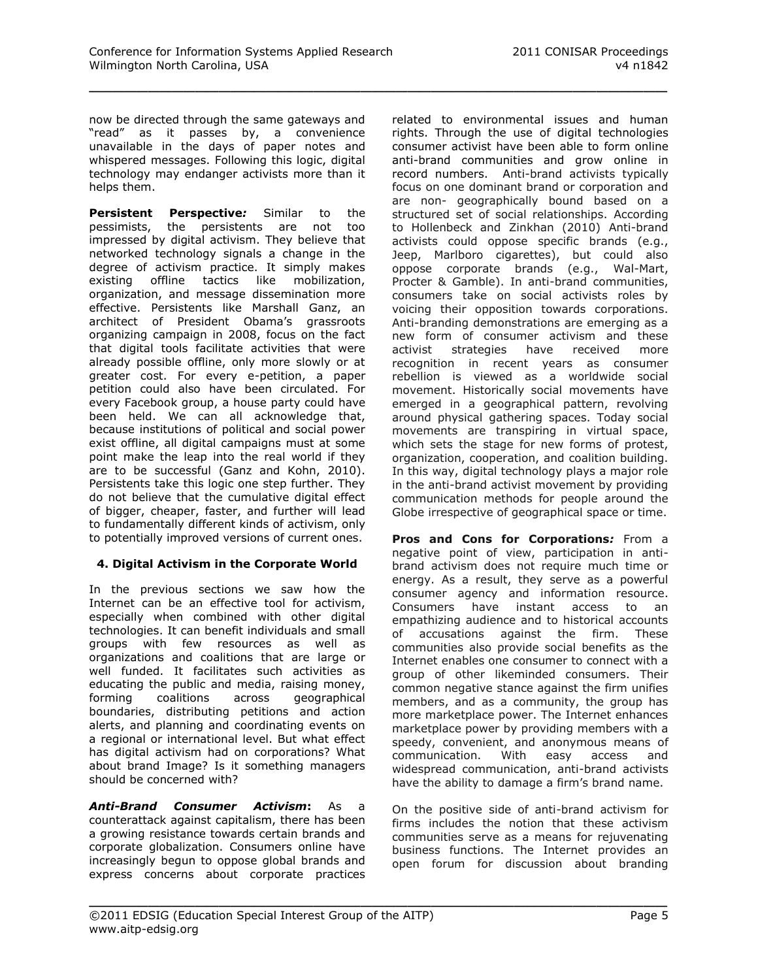now be directed through the same gateways and "read" as it passes by, a convenience unavailable in the days of paper notes and whispered messages. Following this logic, digital technology may endanger activists more than it helps them.

**Persistent Perspective***:* Similar to the pessimists, the persistents are not too impressed by digital activism. They believe that networked technology signals a change in the degree of activism practice. It simply makes existing offline tactics like mobilization, organization, and message dissemination more effective. Persistents like Marshall Ganz, an architect of President Obama's grassroots organizing campaign in 2008, focus on the fact that digital tools facilitate activities that were already possible offline, only more slowly or at greater cost. For every e-petition, a paper petition could also have been circulated. For every Facebook group, a house party could have been held. We can all acknowledge that, because institutions of political and social power exist offline, all digital campaigns must at some point make the leap into the real world if they are to be successful (Ganz and Kohn, 2010). Persistents take this logic one step further. They do not believe that the cumulative digital effect of bigger, cheaper, faster, and further will lead to fundamentally different kinds of activism, only to potentially improved versions of current ones.

## **4. Digital Activism in the Corporate World**

In the previous sections we saw how the Internet can be an effective tool for activism, especially when combined with other digital technologies. It can benefit individuals and small groups with few resources as well as organizations and coalitions that are large or well funded. It facilitates such activities as educating the public and media, raising money, forming coalitions across geographical boundaries, distributing petitions and action alerts, and planning and coordinating events on a regional or international level. But what effect has digital activism had on corporations? What about brand Image? Is it something managers should be concerned with?

*Anti-Brand Consumer Activism***:** As a counterattack against capitalism, there has been a growing resistance towards certain brands and corporate globalization. Consumers online have increasingly begun to oppose global brands and express concerns about corporate practices

related to environmental issues and human rights. Through the use of digital technologies consumer activist have been able to form online anti-brand communities and grow online in record numbers. Anti-brand activists typically focus on one dominant brand or corporation and are non- geographically bound based on a structured set of social relationships. According to Hollenbeck and Zinkhan (2010) Anti-brand activists could oppose specific brands (e.g., Jeep, Marlboro cigarettes), but could also oppose corporate brands (e.g., Wal-Mart, Procter & Gamble). In anti-brand communities, consumers take on social activists roles by voicing their opposition towards corporations. Anti-branding demonstrations are emerging as a new form of consumer activism and these activist strategies have received more recognition in recent years as consumer rebellion is viewed as a worldwide social movement. Historically social movements have emerged in a geographical pattern, revolving around physical gathering spaces. Today social movements are transpiring in virtual space, which sets the stage for new forms of protest, organization, cooperation, and coalition building. In this way, digital technology plays a major role in the anti-brand activist movement by providing communication methods for people around the Globe irrespective of geographical space or time.

**Pros and Cons for Corporations***:* From a negative point of view, participation in antibrand activism does not require much time or energy. As a result, they serve as a powerful consumer agency and information resource. Consumers have instant access to an empathizing audience and to historical accounts of accusations against the firm. These communities also provide social benefits as the Internet enables one consumer to connect with a group of other likeminded consumers. Their common negative stance against the firm unifies members, and as a community, the group has more marketplace power. The Internet enhances marketplace power by providing members with a speedy, convenient, and anonymous means of communication. With easy access and widespread communication, anti-brand activists have the ability to damage a firm's brand name.

On the positive side of anti-brand activism for firms includes the notion that these activism communities serve as a means for rejuvenating business functions. The Internet provides an open forum for discussion about branding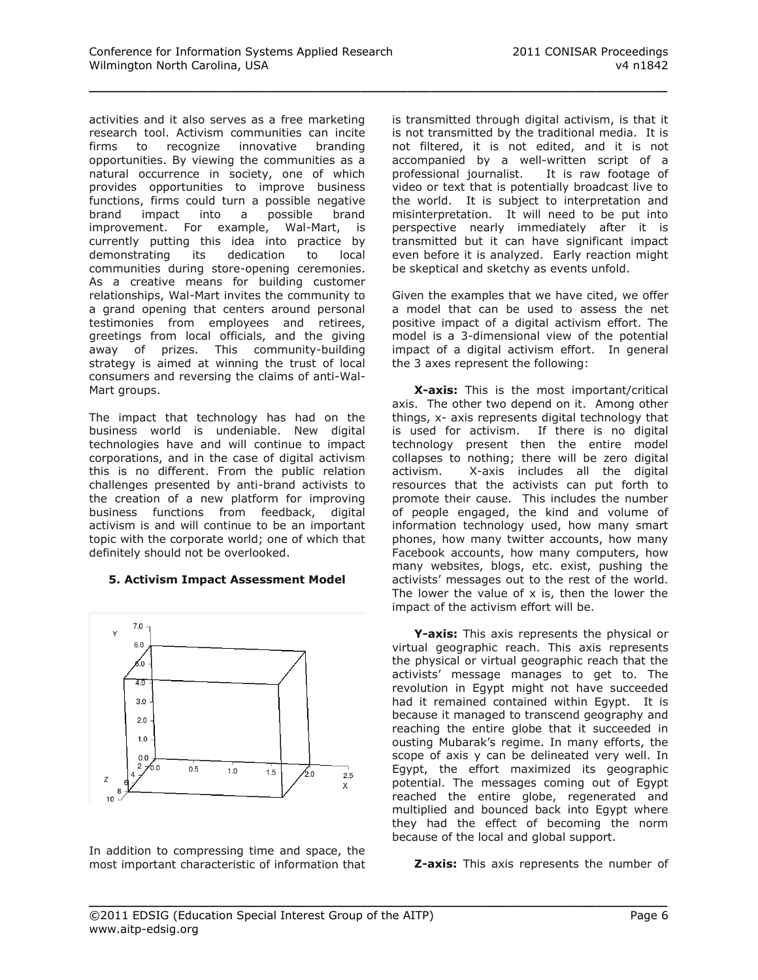activities and it also serves as a free marketing research tool. Activism communities can incite firms to recognize innovative branding opportunities. By viewing the communities as a natural occurrence in society, one of which provides opportunities to improve business functions, firms could turn a possible negative brand impact into a possible brand improvement. For example, Wal-Mart, is currently putting this idea into practice by demonstrating its dedication to local communities during store-opening ceremonies. As a creative means for building customer relationships, Wal-Mart invites the community to a grand opening that centers around personal testimonies from employees and retirees, greetings from local officials, and the giving away of prizes. This community-building strategy is aimed at winning the trust of local consumers and reversing the claims of anti-Wal-Mart groups.

The impact that technology has had on the business world is undeniable. New digital technologies have and will continue to impact corporations, and in the case of digital activism this is no different. From the public relation challenges presented by anti-brand activists to the creation of a new platform for improving business functions from feedback, digital activism is and will continue to be an important topic with the corporate world; one of which that definitely should not be overlooked.

#### **5. Activism Impact Assessment Model**



In addition to compressing time and space, the most important characteristic of information that is transmitted through digital activism, is that it is not transmitted by the traditional media. It is not filtered, it is not edited, and it is not accompanied by a well-written script of a professional journalist. It is raw footage of video or text that is potentially broadcast live to the world. It is subject to interpretation and misinterpretation. It will need to be put into perspective nearly immediately after it is transmitted but it can have significant impact even before it is analyzed. Early reaction might be skeptical and sketchy as events unfold.

Given the examples that we have cited, we offer a model that can be used to assess the net positive impact of a digital activism effort. The model is a 3-dimensional view of the potential impact of a digital activism effort. In general the 3 axes represent the following:

**X-axis:** This is the most important/critical axis. The other two depend on it. Among other things, x- axis represents digital technology that is used for activism. If there is no digital technology present then the entire model collapses to nothing; there will be zero digital activism. X-axis includes all the digital resources that the activists can put forth to promote their cause. This includes the number of people engaged, the kind and volume of information technology used, how many smart phones, how many twitter accounts, how many Facebook accounts, how many computers, how many websites, blogs, etc. exist, pushing the activists' messages out to the rest of the world. The lower the value of  $x$  is, then the lower the impact of the activism effort will be.

**Y-axis:** This axis represents the physical or virtual geographic reach. This axis represents the physical or virtual geographic reach that the activists' message manages to get to. The revolution in Egypt might not have succeeded had it remained contained within Egypt. It is because it managed to transcend geography and reaching the entire globe that it succeeded in ousting Mubarak's regime. In many efforts, the scope of axis y can be delineated very well. In Egypt, the effort maximized its geographic potential. The messages coming out of Egypt reached the entire globe, regenerated and multiplied and bounced back into Egypt where they had the effect of becoming the norm because of the local and global support.

**Z-axis:** This axis represents the number of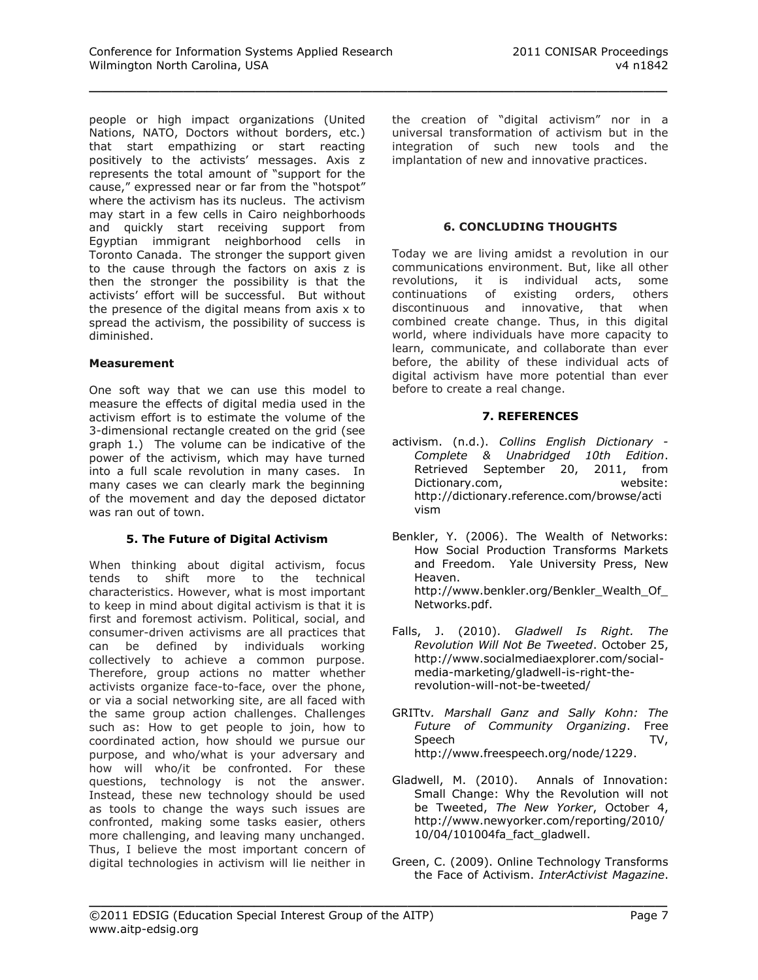people or high impact organizations (United Nations, NATO, Doctors without borders, etc.) that start empathizing or start reacting positively to the activists' messages. Axis z represents the total amount of "support for the cause," expressed near or far from the "hotspot" where the activism has its nucleus. The activism may start in a few cells in Cairo neighborhoods and quickly start receiving support from Egyptian immigrant neighborhood cells in Toronto Canada. The stronger the support given to the cause through the factors on axis z is then the stronger the possibility is that the activists' effort will be successful. But without the presence of the digital means from axis x to spread the activism, the possibility of success is diminished.

#### **Measurement**

One soft way that we can use this model to measure the effects of digital media used in the activism effort is to estimate the volume of the 3-dimensional rectangle created on the grid (see graph 1.) The volume can be indicative of the power of the activism, which may have turned into a full scale revolution in many cases. In many cases we can clearly mark the beginning of the movement and day the deposed dictator was ran out of town.

## **5. The Future of Digital Activism**

When thinking about digital activism, focus tends to shift more to the technical characteristics. However, what is most important to keep in mind about digital activism is that it is first and foremost activism. Political, social, and consumer-driven activisms are all practices that can be defined by individuals working collectively to achieve a common purpose. Therefore, group actions no matter whether activists organize face-to-face, over the phone, or via a social networking site, are all faced with the same group action challenges. Challenges such as: How to get people to join, how to coordinated action, how should we pursue our purpose, and who/what is your adversary and how will who/it be confronted. For these questions, technology is not the answer. Instead, these new technology should be used as tools to change the ways such issues are confronted, making some tasks easier, others more challenging, and leaving many unchanged. Thus, I believe the most important concern of digital technologies in activism will lie neither in

the creation of "digital activism" nor in a universal transformation of activism but in the integration of such new tools and the implantation of new and innovative practices.

#### **6. CONCLUDING THOUGHTS**

Today we are living amidst a revolution in our communications environment. But, like all other revolutions, it is individual acts, some continuations of existing orders, others discontinuous and innovative, that when combined create change. Thus, in this digital world, where individuals have more capacity to learn, communicate, and collaborate than ever before, the ability of these individual acts of digital activism have more potential than ever before to create a real change.

#### **7. REFERENCES**

- activism. (n.d.). *Collins English Dictionary - Complete & Unabridged 10th Edition*. Retrieved September 20, 2011, from Dictionary.com, website: [http://dictionary.reference.com/browse/acti](http://dictionary.reference.com/browse/activism) [vism](http://dictionary.reference.com/browse/activism)
- Benkler, Y. (2006). The Wealth of Networks: How Social Production Transforms Markets and Freedom. Yale University Press, New Heaven. http://www.benkler.org/Benkler\_Wealth\_Of [Networks.pdf.](http://www.benkler.org/Benkler_Wealth_Of_Networks.pdf)
- Falls, J. (2010). *Gladwell Is Right. The Revolution Will Not Be Tweeted*. October 25, [http://www.socialmediaexplorer.com/social](http://www.socialmediaexplorer.com/social-media-marketing/gladwell-is-right-the-revolution-will-not-be-tweeted/)[media-marketing/gladwell-is-right-the](http://www.socialmediaexplorer.com/social-media-marketing/gladwell-is-right-the-revolution-will-not-be-tweeted/)[revolution-will-not-be-tweeted/](http://www.socialmediaexplorer.com/social-media-marketing/gladwell-is-right-the-revolution-will-not-be-tweeted/)
- GRITtv*. Marshall Ganz and Sally Kohn: The Future of Community Organizing*. Free Speech TV, [http://www.freespeech.org/node/1229.](http://www.freespeech.org/node/1229)
- Gladwell, M. (2010). Annals of Innovation: Small Change: Why the Revolution will not be Tweeted, *The New Yorker*, October 4, [http://www.newyorker.com/reporting/2010/](http://www.newyorker.com/reporting/2010/10/04/101004fa_fact_gladwell) [10/04/101004fa\\_fact\\_gladwell.](http://www.newyorker.com/reporting/2010/10/04/101004fa_fact_gladwell)
- Green, C. (2009). Online Technology Transforms the Face of Activism. *InterActivist Magazine*.